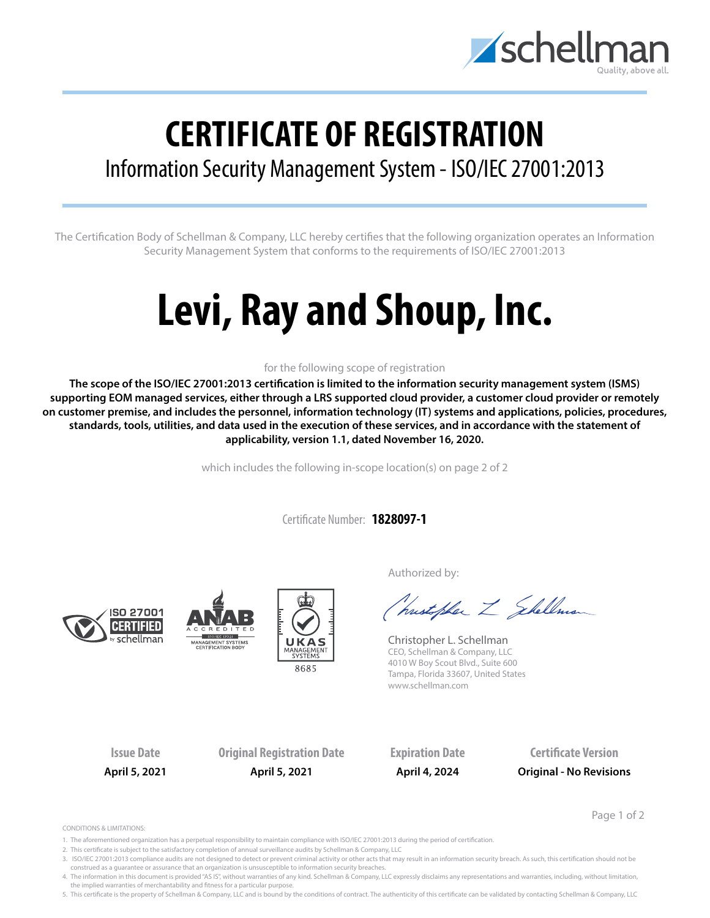

## **CERTIFICATE OF REGISTRATION**

## Information Security Management System - ISO/IEC 27001:2013

The Certification Body of Schellman & Company, LLC hereby certifies that the following organization operates an Information Security Management System that conforms to the requirements of ISO/IEC 27001:2013

# **Levi, Ray and Shoup, Inc.**

### for the following scope of registration

**The scope of the ISO/IEC 27001:2013 certification is limited to the information security management system (ISMS) supporting EOM managed services, either through a LRS supported cloud provider, a customer cloud provider or remotely on customer premise, and includes the personnel, information technology (IT) systems and applications, policies, procedures, standards, tools, utilities, and data used in the execution of these services, and in accordance with the statement of applicability, version 1.1, dated November 16, 2020.**

which includes the following in-scope location(s) on page 2 of 2

Certificate Number: **1828097-1**







Authorized by:

Christopher Z Shellman

Christopher L. Schellman CEO, Schellman & Company, LLC 4010 W Boy Scout Blvd., Suite 600 Tampa, Florida 33607, United States www.schellman.com

**Issue Date Original Registration Date Expiration Date Certificate Version April 5, 2021 April 5, 2021 April 4, 2024 Original - No Revisions**

Page 1 of 2

CONDITIONS & LIMITATIONS:

- 1. The aforementioned organization has a perpetual responsibility to maintain compliance with ISO/IEC 27001:2013 during the period of certification.
- 2. This certificate is subject to the satisfactory completion of annual surveillance audits by Schellman & Company, LLC
- 3. ISO/IEC 27001:2013 compliance audits are not designed to detect or prevent criminal activity or other acts that may result in an information security breach. As such, this certification should not be construed as a guarantee or assurance that an organization is unsusceptible to information security breaches.
- 4. The information in this document is provided "AS IS", without warranties of any kind. Schellman & Company, LLC expressly disclaims any representations and warranties, including, without limitation, the implied warranties of merchantability and fitness for a particular purpose.

5. This certificate is the property of Schellman & Company, LLC and is bound by the conditions of contract. The authenticity of this certificate can be validated by contacting Schellman & Company, LLC